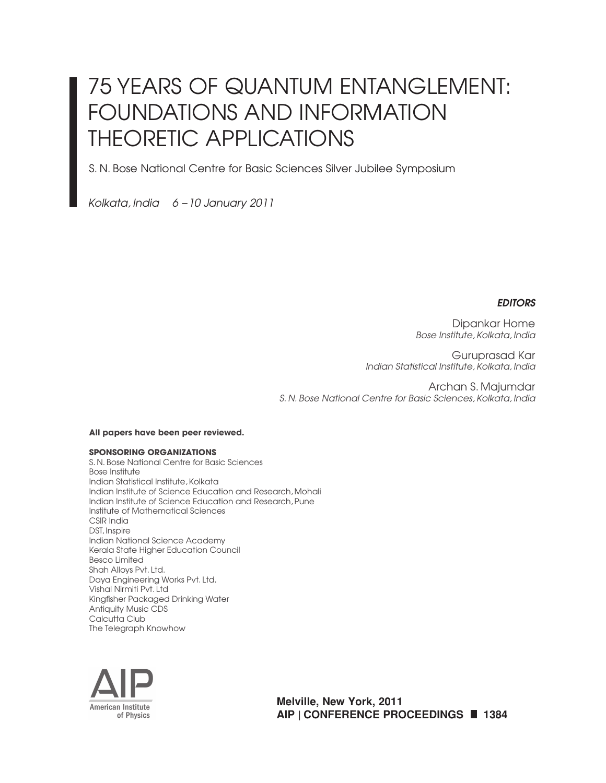# 75 YEARS OF QUANTUM ENTANGLEMENT: FOUNDATIONS AND INFORMATION THEORETIC APPLICATIONS

S. N. Bose National Centre for Basic Sciences Silver Jubilee Symposium

*Kolkata, India 6 – 10 January 2011*

### *EDITORS*

Dipankar Home *Bose Institute, Kolkata, India*

Guruprasad Kar *Indian Statistical Institute, Kolkata, India*

Archan S. Majumdar *S. N. Bose National Centre for Basic Sciences, Kolkata, India*

#### **All papers have been peer reviewed.**

#### **SPONSORING ORGANIZATIONS**

S. N. Bose National Centre for Basic Sciences Bose Institute Indian Statistical Institute, Kolkata Indian Institute of Science Education and Research, Mohali Indian Institute of Science Education and Research, Pune Institute of Mathematical Sciences CSIR India DST, Inspire Indian National Science Academy Kerala State Higher Education Council Besco Limited Shah Alloys Pvt. Ltd. Daya Engineering Works Pvt. Ltd. Vishal Nirmiti Pvt. Ltd Kingfisher Packaged Drinking Water Antiquity Music CDS Calcutta Club The Telegraph Knowhow



**Melville, New York, 2011 AIP | CONFERENCE PROCEEDINGS 1384**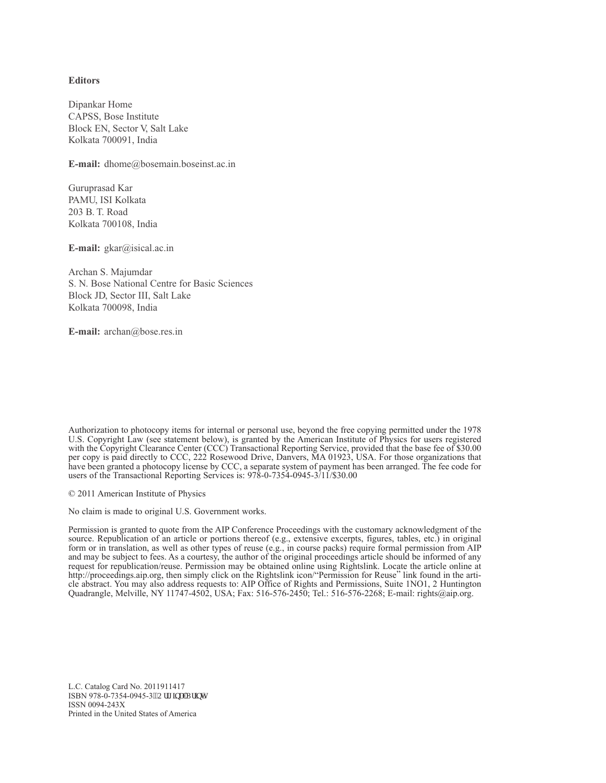#### **Editors**

Dipankar Home CAPSS, Bose Institute Block EN, Sector V, Salt Lake Kolkata 700091, India

**E-mail:** dhome@bosemain.boseinst.ac.in

Guruprasad Kar PAMU, ISI Kolkata 203 B. T. Road Kolkata 700108, India

**E-mail:** gkar@isical.ac.in

Archan S. Majumdar S. N. Bose National Centre for Basic Sciences Block JD, Sector III, Salt Lake Kolkata 700098, India

**E-mail:** archan@bose.res.in

Authorization to photocopy items for internal or personal use, beyond the free copying permitted under the 1978 U.S. Copyright Law (see statement below), is granted by the American Institute of Physics for users registered with the Copyright Clearance Center (CCC) Transactional Reporting Service, provided that the base fee of \$30.00 per copy is paid directly to CCC, 222 Rosewood Drive, Danvers, MA 01923, USA. For those organizations that have been granted a photocopy license by CCC, a separate system of payment has been arranged. The fee code for users of the Transactional Reporting Services is: 978-0-7354-0945-3/11/\$30.00

© 2011 American Institute of Physics

No claim is made to original U.S. Government works.

Permission is granted to quote from the AIP Conference Proceedings with the customary acknowledgment of the source. Republication of an article or portions thereof (e.g., extensive excerpts, figures, tables, etc.) in original form or in translation, as well as other types of reuse (e.g., in course packs) require formal permission from AIP and may be subject to fees. As a courtesy, the author of the original proceedings article should be informed of any request for republication/reuse. Permission may be obtained online using Rightslink. Locate the article online at http://proceedings.aip.org, then simply click on the Rightslink icon/"Permission for Reuse" link found in the article abstract. You may also address requests to: AIP Office of Rights and Permissions, Suite 1NO1, 2 Huntington Quadrangle, Melville, NY 11747-4502, USA; Fax: 516-576-2450; Tel.: 516-576-2268; E-mail: rights@aip.org.

L.C. Catalog Card No. 2011911417 ISBN 978-0-7354-0945-3"Qtki kpcnRtkpv+ ISSN 0094-243X Printed in the United States of America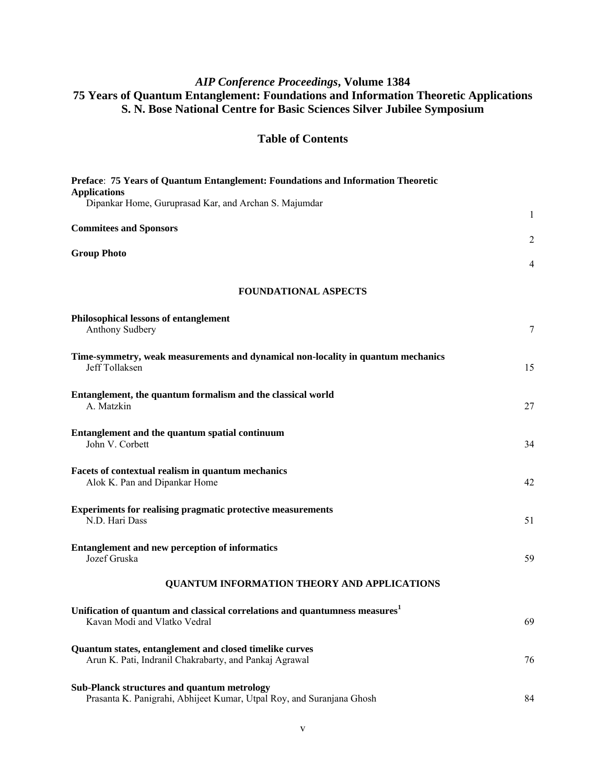## *AIP Conference Proceedings***, Volume 1384 75 Years of Quantum Entanglement: Foundations and Information Theoretic Applications S. N. Bose National Centre for Basic Sciences Silver Jubilee Symposium**

## **Table of Contents**

| Preface: 75 Years of Quantum Entanglement: Foundations and Information Theoretic<br><b>Applications</b>                     |                                  |
|-----------------------------------------------------------------------------------------------------------------------------|----------------------------------|
| Dipankar Home, Guruprasad Kar, and Archan S. Majumdar                                                                       | $\mathbf{1}$                     |
| <b>Commitees and Sponsors</b>                                                                                               |                                  |
| <b>Group Photo</b>                                                                                                          | $\overline{2}$<br>$\overline{4}$ |
| <b>FOUNDATIONAL ASPECTS</b>                                                                                                 |                                  |
| Philosophical lessons of entanglement<br><b>Anthony Sudbery</b>                                                             | 7                                |
| Time-symmetry, weak measurements and dynamical non-locality in quantum mechanics<br><b>Jeff Tollaksen</b>                   | 15                               |
| Entanglement, the quantum formalism and the classical world<br>A. Matzkin                                                   | 27                               |
| Entanglement and the quantum spatial continuum<br>John V. Corbett                                                           | 34                               |
| Facets of contextual realism in quantum mechanics<br>Alok K. Pan and Dipankar Home                                          | 42                               |
| <b>Experiments for realising pragmatic protective measurements</b><br>N.D. Hari Dass                                        | 51                               |
| <b>Entanglement and new perception of informatics</b><br>Jozef Gruska                                                       | 59                               |
| QUANTUM INFORMATION THEORY AND APPLICATIONS                                                                                 |                                  |
| Unification of quantum and classical correlations and quantumness measures <sup>1</sup><br>Kavan Modi and Vlatko Vedral     | 69                               |
| Quantum states, entanglement and closed timelike curves<br>Arun K. Pati, Indranil Chakrabarty, and Pankaj Agrawal           | 76                               |
| <b>Sub-Planck structures and quantum metrology</b><br>Prasanta K. Panigrahi, Abhijeet Kumar, Utpal Roy, and Suranjana Ghosh | 84                               |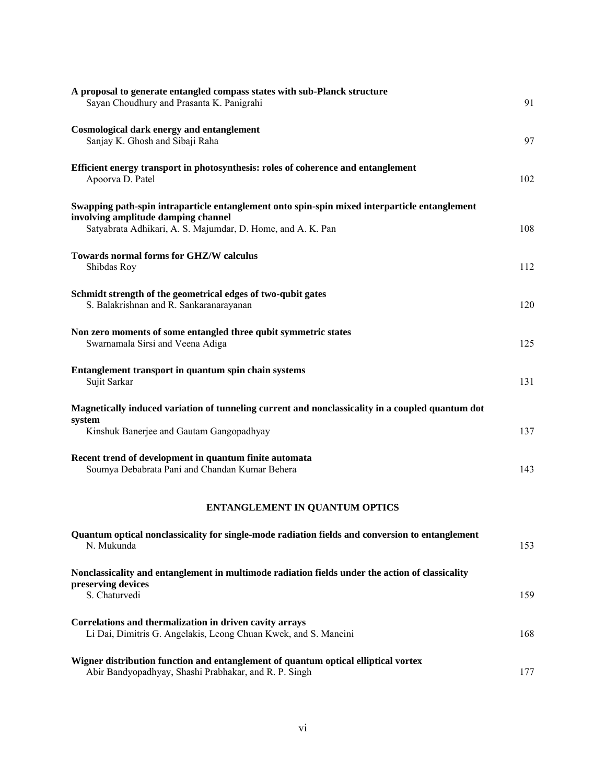| A proposal to generate entangled compass states with sub-Planck structure<br>Sayan Choudhury and Prasanta K. Panigrahi                                                                              | 91  |
|-----------------------------------------------------------------------------------------------------------------------------------------------------------------------------------------------------|-----|
| <b>Cosmological dark energy and entanglement</b><br>Sanjay K. Ghosh and Sibaji Raha                                                                                                                 | 97  |
| Efficient energy transport in photosynthesis: roles of coherence and entanglement<br>Apoorva D. Patel                                                                                               | 102 |
| Swapping path-spin intraparticle entanglement onto spin-spin mixed interparticle entanglement<br>involving amplitude damping channel<br>Satyabrata Adhikari, A. S. Majumdar, D. Home, and A. K. Pan | 108 |
| Towards normal forms for GHZ/W calculus<br>Shibdas Roy                                                                                                                                              | 112 |
| Schmidt strength of the geometrical edges of two-qubit gates<br>S. Balakrishnan and R. Sankaranarayanan                                                                                             | 120 |
| Non zero moments of some entangled three qubit symmetric states<br>Swarnamala Sirsi and Veena Adiga                                                                                                 | 125 |
| Entanglement transport in quantum spin chain systems<br>Sujit Sarkar                                                                                                                                | 131 |
| Magnetically induced variation of tunneling current and nonclassicality in a coupled quantum dot<br>system<br>Kinshuk Banerjee and Gautam Gangopadhyay                                              | 137 |
| Recent trend of development in quantum finite automata<br>Soumya Debabrata Pani and Chandan Kumar Behera                                                                                            | 143 |
| ENTANGLEMENT IN QUANTUM OPTICS                                                                                                                                                                      |     |

| Quantum optical nonclassicality for single-mode radiation fields and conversion to entanglement<br>N. Mukunda                               | 153 |
|---------------------------------------------------------------------------------------------------------------------------------------------|-----|
| Nonclassicality and entanglement in multimode radiation fields under the action of classicality<br>preserving devices<br>S. Chaturvedi      | 159 |
| Correlations and thermalization in driven cavity arrays<br>Li Dai, Dimitris G. Angelakis, Leong Chuan Kwek, and S. Mancini                  | 168 |
| Wigner distribution function and entanglement of quantum optical elliptical vortex<br>Abir Bandyopadhyay, Shashi Prabhakar, and R. P. Singh | 177 |